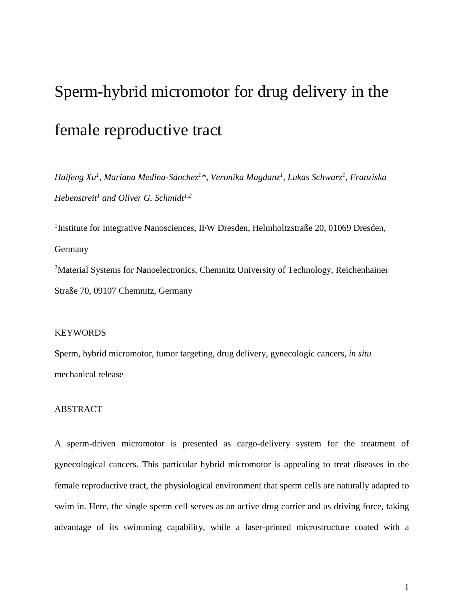# Sperm-hybrid micromotor for drug delivery in the female reproductive tract

*Haifeng Xu1 , Mariana Medina-Sánchez<sup>1</sup> \*, Veronika Magdanz<sup>1</sup> , Lukas Schwarz<sup>1</sup> , Franziska Hebenstreit<sup>1</sup> and Oliver G. Schmidt1,2*

<sup>1</sup>Institute for Integrative Nanosciences, IFW Dresden, Helmholtzstraße 20, 01069 Dresden, Germany <sup>2</sup>Material Systems for Nanoelectronics, Chemnitz University of Technology, Reichenhainer Straße 70, 09107 Chemnitz, Germany

### KEYWORDS

Sperm, hybrid micromotor, tumor targeting, drug delivery, gynecologic cancers, *in situ* mechanical release

# ABSTRACT

A sperm-driven micromotor is presented as cargo-delivery system for the treatment of gynecological cancers. This particular hybrid micromotor is appealing to treat diseases in the female reproductive tract, the physiological environment that sperm cells are naturally adapted to swim in. Here, the single sperm cell serves as an active drug carrier and as driving force, taking advantage of its swimming capability, while a laser-printed microstructure coated with a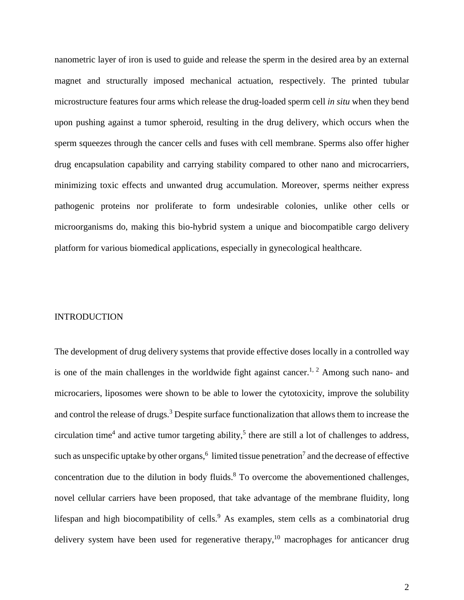nanometric layer of iron is used to guide and release the sperm in the desired area by an external magnet and structurally imposed mechanical actuation, respectively. The printed tubular microstructure features four arms which release the drug-loaded sperm cell *in situ* when they bend upon pushing against a tumor spheroid, resulting in the drug delivery, which occurs when the sperm squeezes through the cancer cells and fuses with cell membrane. Sperms also offer higher drug encapsulation capability and carrying stability compared to other nano and microcarriers, minimizing toxic effects and unwanted drug accumulation. Moreover, sperms neither express pathogenic proteins nor proliferate to form undesirable colonies, unlike other cells or microorganisms do, making this bio-hybrid system a unique and biocompatible cargo delivery platform for various biomedical applications, especially in gynecological healthcare.

# **INTRODUCTION**

The development of drug delivery systems that provide effective doses locally in a controlled way is one of the main challenges in the worldwide fight against cancer.<sup>[1,](#page-22-0) [2](#page-22-1)</sup> Among such nano- and microcariers, liposomes were shown to be able to lower the cytotoxicity, improve the solubility and control the release of drugs.<sup>[3](#page-22-2)</sup> Despite surface functionalization that allows them to increase the circulation time<sup>4</sup> and active tumor targeting ability,<sup>[5](#page-22-4)</sup> there are still a lot of challenges to address, such as unspecific uptake by other organs[,](#page-22-5)  $6$  limited tissue penetration<sup>[7](#page-22-6)</sup> and the decrease of effective concentration due to the dilution in body fluids[.](#page-22-7) $8$  To overcome the abovementioned challenges, novel cellular carriers have been proposed, that take advantage of the membrane fluidity, long lifespan and high biocompatibility of cells. [9](#page-22-8) As examples, stem cells as a combinatorial drug delivery system have been used for regenerative therapy,<sup>[10](#page-22-9)</sup> macrophages for anticancer drug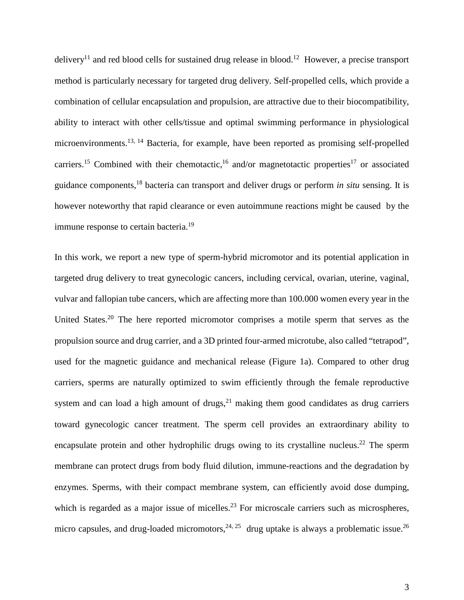delivery<sup>11</sup> and red blood cells for sustained drug release in blood.<sup>12</sup> However, a precise transport method is particularly necessary for targeted drug delivery. Self-propelled cells, which provide a combination of cellular encapsulation and propulsion, are attractive due to their biocompatibility, ability to interact with other cells/tissue and optimal swimming performance in physiological microenvironments[.13,](#page-22-12) [14](#page-22-13) Bacteria, for example, have been reported as promising self-propelled carriers.<sup>15</sup> Combined with their chemotactic,<sup>16</sup> and/or magnetotactic properties<sup>17</sup> or associated guidance components, [18](#page-22-17) bacteria can transport and deliver drugs or perform *in situ* sensing. It is however noteworthy that rapid clearance or even autoimmune reactions might be caused by the immune response to certain bacteria.<sup>19</sup>

In this work, we report a new type of sperm-hybrid micromotor and its potential application in targeted drug delivery to treat gynecologic cancers, including cervical, ovarian, uterine, vaginal, vulvar and fallopian tube cancers, which are affecting more than 100.000 women every year in the United States. [20](#page-23-0) The here reported micromotor comprises a motile sperm that serves as the propulsion source and drug carrier, and a 3D printed four-armed microtube, also called "tetrapod", used for the magnetic guidance and mechanical release (Figure 1a). Compared to other drug carriers, sperms are naturally optimized to swim efficiently through the female reproductive system and can load a high amount of drugs, $21$  making them good candidates as drug carriers toward gynecologic cancer treatment. The sperm cell provides an extraordinary ability to encapsulate protein and other hydrophilic drugs owing to its crystalline nucleus.<sup>[22](#page-23-2)</sup> The sperm membrane can protect drugs from body fluid dilution, immune-reactions and the degradation by enzymes. Sperms, with their compact membrane system, can efficiently avoid dose dumping, which is regarded as a major issue of micelles.<sup>23</sup> For microscale carriers such as microspheres, micro capsules, and drug-loaded micromotors,  $24, 25$  drug uptake is always a problematic issue.  $26$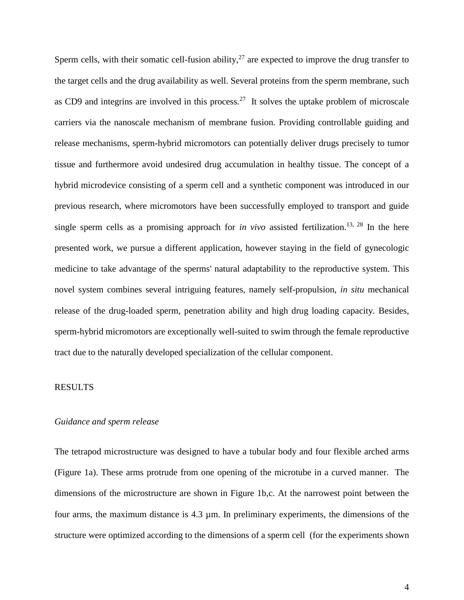Sperm cells, with their somatic cell-fusion ability, $^{27}$  $^{27}$  $^{27}$  are expected to improve the drug transfer to the target cells and the drug availability as well. Several proteins from the sperm membrane, such as CD9 and integrins are involved in this process.<sup>27</sup> It solves the uptake problem of microscale carriers via the nanoscale mechanism of membrane fusion. Providing controllable guiding and release mechanisms, sperm-hybrid micromotors can potentially deliver drugs precisely to tumor tissue and furthermore avoid undesired drug accumulation in healthy tissue. The concept of a hybrid microdevice consisting of a sperm cell and a synthetic component was introduced in our previous research, where micromotors have been successfully employed to transport and guide single sperm cells as a promising approach for *in vivo* assisted fertilization. [13,](#page-22-12) [28](#page-23-8) In the here presented work, we pursue a different application, however staying in the field of gynecologic medicine to take advantage of the sperms' natural adaptability to the reproductive system. This novel system combines several intriguing features, namely self-propulsion, *in situ* mechanical release of the drug-loaded sperm, penetration ability and high drug loading capacity. Besides, sperm-hybrid micromotors are exceptionally well-suited to swim through the female reproductive tract due to the naturally developed specialization of the cellular component.

### RESULTS

### *Guidance and sperm release*

The tetrapod microstructure was designed to have a tubular body and four flexible arched arms (Figure 1a). These arms protrude from one opening of the microtube in a curved manner. The dimensions of the microstructure are shown in Figure 1b,c. At the narrowest point between the four arms, the maximum distance is  $4.3 \mu$ m. In preliminary experiments, the dimensions of the structure were optimized according to the dimensions of a sperm cell (for the experiments shown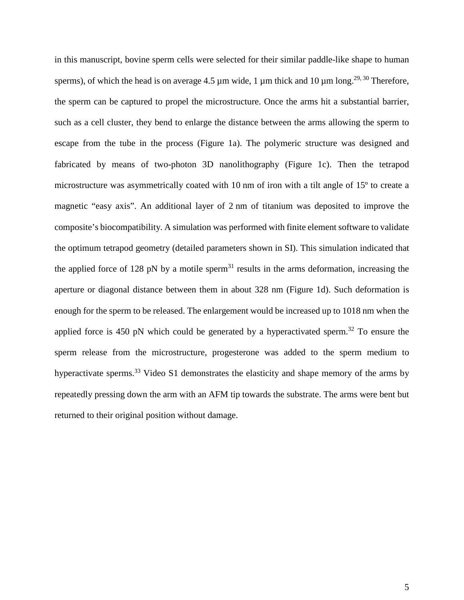in this manuscript, bovine sperm cells were selected for their similar paddle-like shape to human sperms), of which the head is on average 4.5  $\mu$ m wide, 1  $\mu$ m thick and 10  $\mu$ m long.<sup>[29,](#page-23-9) [30](#page-23-10)</sup> Therefore, the sperm can be captured to propel the microstructure. Once the arms hit a substantial barrier, such as a cell cluster, they bend to enlarge the distance between the arms allowing the sperm to escape from the tube in the process (Figure 1a). The polymeric structure was designed and fabricated by means of two-photon 3D nanolithography (Figure 1c). Then the tetrapod microstructure was asymmetrically coated with 10 nm of iron with a tilt angle of 15º to create a magnetic "easy axis". An additional layer of 2 nm of titanium was deposited to improve the composite's biocompatibility. A simulation was performed with finite element software to validate the optimum tetrapod geometry (detailed parameters shown in SI). This simulation indicated that the applied force of 128 pN by a motile sperm<sup>[31](#page-23-11)</sup> results in the arms deformation, increasing the aperture or diagonal distance between them in about 328 nm (Figure 1d). Such deformation is enough for the sperm to be released. The enlargement would be increased up to 1018 nm when the applied force is 450 pN which could be generated by a hyperactivated sperm.<sup>[32](#page-23-12)</sup> To ensure the sperm release from the microstructure, progesterone was added to the sperm medium to hyperactivate sperms.<sup>33</sup> Video S1 demonstrates the elasticity and shape memory of the arms by repeatedly pressing down the arm with an AFM tip towards the substrate. The arms were bent but returned to their original position without damage.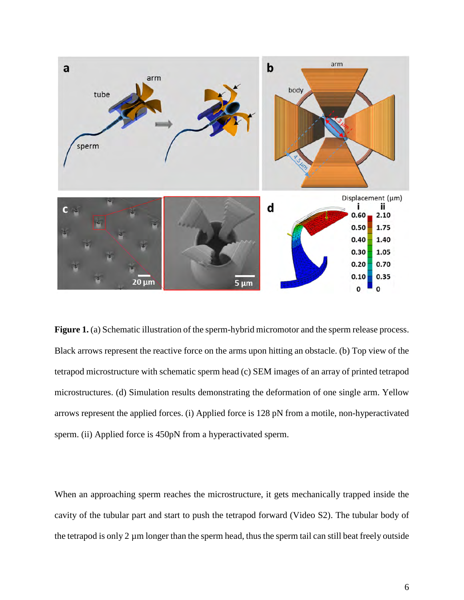

**Figure 1.** (a) Schematic illustration of the sperm-hybrid micromotor and the sperm release process. Black arrows represent the reactive force on the arms upon hitting an obstacle. (b) Top view of the tetrapod microstructure with schematic sperm head (c) SEM images of an array of printed tetrapod microstructures. (d) Simulation results demonstrating the deformation of one single arm. Yellow arrows represent the applied forces. (i) Applied force is 128 pN from a motile, non-hyperactivated sperm. (ii) Applied force is 450pN from a hyperactivated sperm.

When an approaching sperm reaches the microstructure, it gets mechanically trapped inside the cavity of the tubular part and start to push the tetrapod forward (Video S2). The tubular body of the tetrapod is only 2 µm longer than the sperm head, thus the sperm tail can still beat freely outside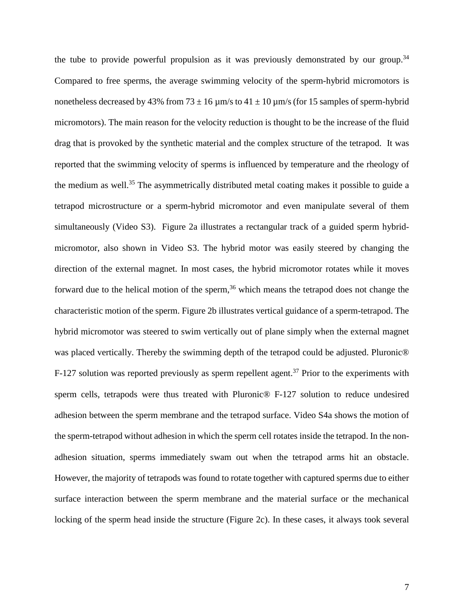the tube to provide powerful propulsion as it was previously demonstrated by our group.<sup>[34](#page-23-14)</sup> Compared to free sperms, the average swimming velocity of the sperm-hybrid micromotors is nonetheless decreased by 43% from  $73 \pm 16$  µm/s to  $41 \pm 10$  µm/s (for 15 samples of sperm-hybrid micromotors). The main reason for the velocity reduction is thought to be the increase of the fluid drag that is provoked by the synthetic material and the complex structure of the tetrapod. It was reported that the swimming velocity of sperms is influenced by temperature and the rheology of the medium as well[.35](#page-23-15) The asymmetrically distributed metal coating makes it possible to guide a tetrapod microstructure or a sperm-hybrid micromotor and even manipulate several of them simultaneously (Video S3). Figure 2a illustrates a rectangular track of a guided sperm hybridmicromotor, also shown in Video S3. The hybrid motor was easily steered by changing the direction of the external magnet. In most cases, the hybrid micromotor rotates while it moves forward due to the helical motion of the sperm,<sup>[36](#page-23-16)</sup> which means the tetrapod does not change the characteristic motion of the sperm. Figure 2b illustrates vertical guidance of a sperm-tetrapod. The hybrid micromotor was steered to swim vertically out of plane simply when the external magnet was placed vertically. Thereby the swimming depth of the tetrapod could be adjusted. Pluronic<sup>®</sup> F-127 solution was reported previously as sperm repellent agent.<sup>[37](#page-23-17)</sup> Prior to the experiments with sperm cells, tetrapods were thus treated with Pluronic® F-127 solution to reduce undesired adhesion between the sperm membrane and the tetrapod surface. Video S4a shows the motion of the sperm-tetrapod without adhesion in which the sperm cell rotates inside the tetrapod. In the nonadhesion situation, sperms immediately swam out when the tetrapod arms hit an obstacle. However, the majority of tetrapods was found to rotate together with captured sperms due to either surface interaction between the sperm membrane and the material surface or the mechanical locking of the sperm head inside the structure (Figure 2c). In these cases, it always took several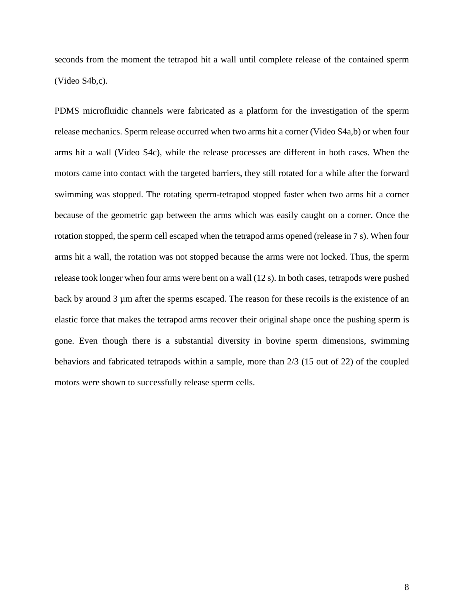seconds from the moment the tetrapod hit a wall until complete release of the contained sperm (Video S4b,c).

PDMS microfluidic channels were fabricated as a platform for the investigation of the sperm release mechanics. Sperm release occurred when two arms hit a corner (Video S4a,b) or when four arms hit a wall (Video S4c), while the release processes are different in both cases. When the motors came into contact with the targeted barriers, they still rotated for a while after the forward swimming was stopped. The rotating sperm-tetrapod stopped faster when two arms hit a corner because of the geometric gap between the arms which was easily caught on a corner. Once the rotation stopped, the sperm cell escaped when the tetrapod arms opened (release in 7 s). When four arms hit a wall, the rotation was not stopped because the arms were not locked. Thus, the sperm release took longer when four arms were bent on a wall (12 s). In both cases, tetrapods were pushed back by around 3 µm after the sperms escaped. The reason for these recoils is the existence of an elastic force that makes the tetrapod arms recover their original shape once the pushing sperm is gone. Even though there is a substantial diversity in bovine sperm dimensions, swimming behaviors and fabricated tetrapods within a sample, more than 2/3 (15 out of 22) of the coupled motors were shown to successfully release sperm cells.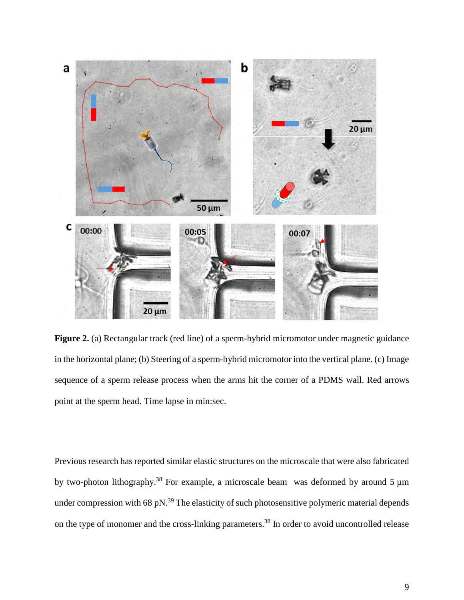

Figure 2. (a) Rectangular track (red line) of a sperm-hybrid micromotor under magnetic guidance in the horizontal plane; (b) Steering of a sperm-hybrid micromotor into the vertical plane. (c) Image sequence of a sperm release process when the arms hit the corner of a PDMS wall. Red arrows point at the sperm head. Time lapse in min:sec.

Previous research has reported similar elastic structures on the microscale that were also fabricated by two-photon lithography.<sup>[38](#page-23-18)</sup> For example, a microscale beam was deformed by around 5  $\mu$ m under compression with 68 pN.<sup>39</sup> The elasticity of such photosensitive polymeric material depends on the type of monomer and the cross-linking parameters.<sup>[38](#page-23-18)</sup> In order to avoid uncontrolled release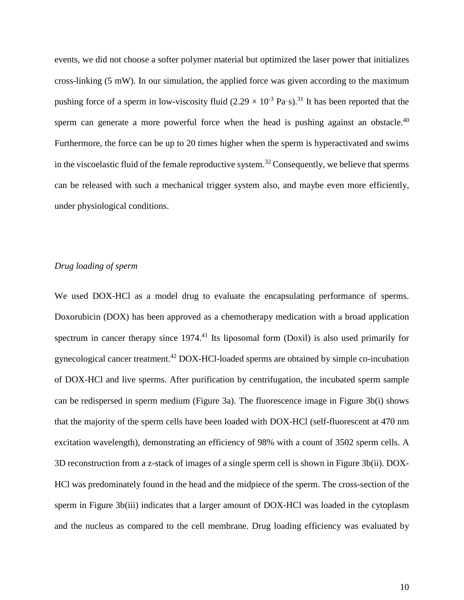events, we did not choose a softer polymer material but optimized the laser power that initializes cross-linking (5 mW). In our simulation, the applied force was given according to the maximum pushing force of a sperm in low-viscosity fluid  $(2.29 \times 10^{-3} \text{ Pa} \cdot \text{s})^{31}$  $(2.29 \times 10^{-3} \text{ Pa} \cdot \text{s})^{31}$  $(2.29 \times 10^{-3} \text{ Pa} \cdot \text{s})^{31}$  It has been reported that the sperm can generate a more powerful force when the head is pushing against an obstacle.<sup>[40](#page-23-20)</sup> Furthermore, the force can be up to 20 times higher when the sperm is hyperactivated and swims in the viscoelastic fluid of the female reproductive system.<sup>[32](#page-23-12)</sup> Consequently, we believe that sperms can be released with such a mechanical trigger system also, and maybe even more efficiently, under physiological conditions.

### *Drug loading of sperm*

We used DOX-HCl as a model drug to evaluate the encapsulating performance of sperms. Doxorubicin (DOX) has been approved as a chemotherapy medication with a broad application spectrum in cancer therapy since 1974.<sup>[41](#page-23-21)</sup> Its liposomal form (Doxil) is also used primarily for gynecological cancer treatment.<sup>[42](#page-23-22)</sup> DOX-HCl-loaded sperms are obtained by simple co-incubation of DOX-HCl and live sperms. After purification by centrifugation, the incubated sperm sample can be redispersed in sperm medium (Figure 3a). The fluorescence image in Figure 3b(i) shows that the majority of the sperm cells have been loaded with DOX-HCl (self-fluorescent at 470 nm excitation wavelength), demonstrating an efficiency of 98% with a count of 3502 sperm cells. A 3D reconstruction from a z-stack of images of a single sperm cell is shown in Figure 3b(ii). DOX-HCl was predominately found in the head and the midpiece of the sperm. The cross-section of the sperm in Figure 3b(iii) indicates that a larger amount of DOX-HCl was loaded in the cytoplasm and the nucleus as compared to the cell membrane. Drug loading efficiency was evaluated by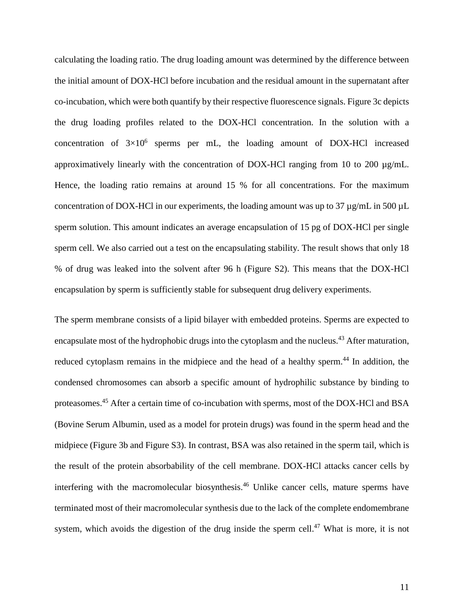calculating the loading ratio. The drug loading amount was determined by the difference between the initial amount of DOX-HCl before incubation and the residual amount in the supernatant after co-incubation, which were both quantify by their respective fluorescence signals. Figure 3c depicts the drug loading profiles related to the DOX-HCl concentration. In the solution with a concentration of  $3\times10^6$  sperms per mL, the loading amount of DOX-HCl increased approximatively linearly with the concentration of DOX-HCl ranging from 10 to 200 µg/mL. Hence, the loading ratio remains at around 15 % for all concentrations. For the maximum concentration of DOX-HCl in our experiments, the loading amount was up to  $37 \mu g/mL$  in  $500 \mu L$ sperm solution. This amount indicates an average encapsulation of 15 pg of DOX-HCl per single sperm cell. We also carried out a test on the encapsulating stability. The result shows that only 18 % of drug was leaked into the solvent after 96 h (Figure S2). This means that the DOX-HCl encapsulation by sperm is sufficiently stable for subsequent drug delivery experiments.

The sperm membrane consists of a lipid bilayer with embedded proteins. Sperms are expected to encapsulate most of the hydrophobic drugs into the cytoplasm and the nucleus.<sup>43</sup> After maturation, reduced cytoplasm remains in the midpiece and the head of a healthy sperm.<sup>[44](#page-23-24)</sup> In addition, the condensed chromosomes can absorb a specific amount of hydrophilic substance by binding to proteasomes.<sup>[45](#page-23-25)</sup> After a certain time of co-incubation with sperms, most of the DOX-HCl and BSA (Bovine Serum Albumin, used as a model for protein drugs) was found in the sperm head and the midpiece (Figure 3b and Figure S3). In contrast, BSA was also retained in the sperm tail, which is the result of the protein absorbability of the cell membrane. DOX-HCl attacks cancer cells by interfering with the macromolecular biosynthesis. [46](#page-24-0) Unlike cancer cells, mature sperms have terminated most of their macromolecular synthesis due to the lack of the complete endomembrane system, which avoids the digestion of the drug inside the sperm cell.<sup>47</sup> What is more, it is not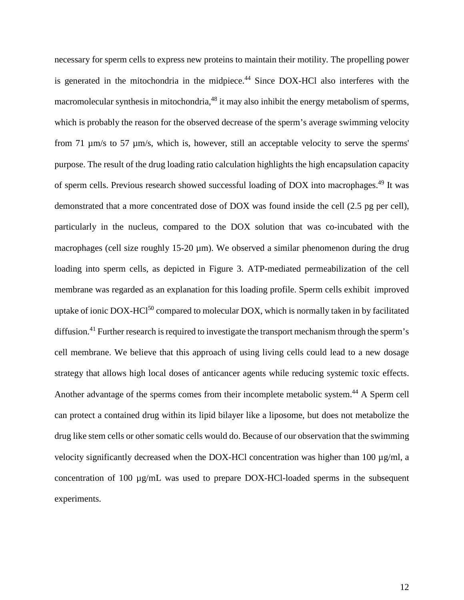necessary for sperm cells to express new proteins to maintain their motility. The propelling power is generated in the mitochondria in the midpiece.<sup>44</sup> Since DOX-HCl also interferes with the macromolecular synthesis in mitochondria,  $48$  it may also inhibit the energy metabolism of sperms, which is probably the reason for the observed decrease of the sperm's average swimming velocity from 71 µm/s to 57 µm/s, which is, however, still an acceptable velocity to serve the sperms' purpose. The result of the drug loading ratio calculation highlights the high encapsulation capacity of sperm cells. Previous research showed successful loading of DOX into macrophages.[49](#page-24-3) It was demonstrated that a more concentrated dose of DOX was found inside the cell (2.5 pg per cell), particularly in the nucleus, compared to the DOX solution that was co-incubated with the macrophages (cell size roughly  $15{\text -}20 \mu m$ ). We observed a similar phenomenon during the drug loading into sperm cells, as depicted in Figure 3. ATP-mediated permeabilization of the cell membrane was regarded as an explanation for this loading profile. Sperm cells exhibit improved uptake of ionic DOX-HCl<sup>[50](#page-24-4)</sup> compared to molecular DOX, which is normally taken in by facilitated diffusion.<sup>[41](#page-23-21)</sup> Further research is required to investigate the transport mechanism through the sperm's cell membrane. We believe that this approach of using living cells could lead to a new dosage strategy that allows high local doses of anticancer agents while reducing systemic toxic effects. Another advantage of the sperms comes from their incomplete metabolic system.<sup>[44](#page-23-24)</sup> A Sperm cell can protect a contained drug within its lipid bilayer like a liposome, but does not metabolize the drug like stem cells or other somatic cells would do. Because of our observation that the swimming velocity significantly decreased when the DOX-HCl concentration was higher than 100  $\mu$ g/ml, a concentration of 100 µg/mL was used to prepare DOX-HCl-loaded sperms in the subsequent experiments.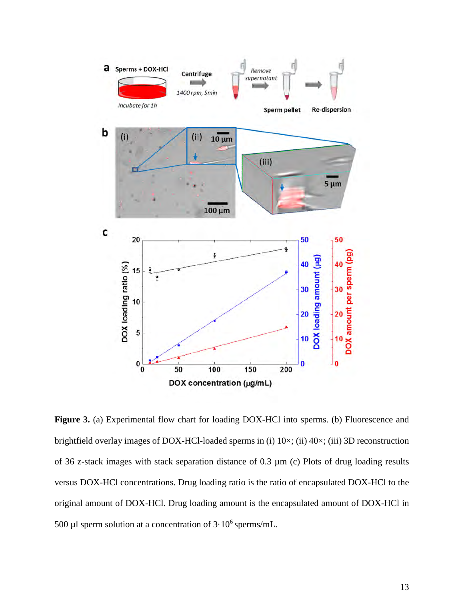

Figure 3. (a) Experimental flow chart for loading DOX-HCl into sperms. (b) Fluorescence and brightfield overlay images of DOX-HCl-loaded sperms in (i)  $10\times$ ; (ii)  $40\times$ ; (iii) 3D reconstruction of 36 z-stack images with stack separation distance of 0.3 µm (c) Plots of drug loading results versus DOX-HCl concentrations. Drug loading ratio is the ratio of encapsulated DOX-HCl to the original amount of DOX-HCl. Drug loading amount is the encapsulated amount of DOX-HCl in 500 µl sperm solution at a concentration of  $3.10^6$  sperms/mL.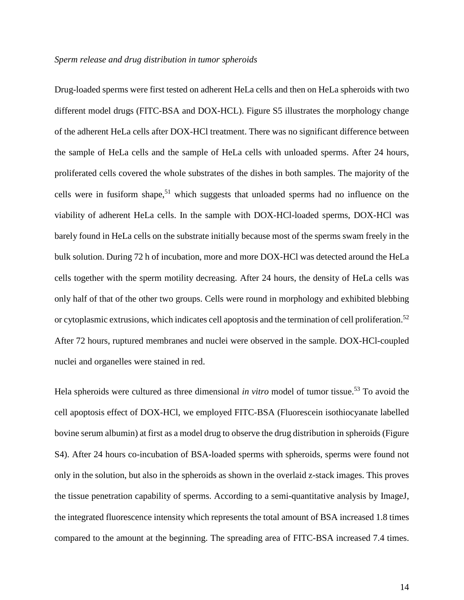### *Sperm release and drug distribution in tumor spheroids*

Drug-loaded sperms were first tested on adherent HeLa cells and then on HeLa spheroids with two different model drugs (FITC-BSA and DOX-HCL). Figure S5 illustrates the morphology change of the adherent HeLa cells after DOX-HCl treatment. There was no significant difference between the sample of HeLa cells and the sample of HeLa cells with unloaded sperms. After 24 hours, proliferated cells covered the whole substrates of the dishes in both samples. The majority of the cells were in fusiform shape,<sup>51</sup> which suggests that unloaded sperms had no influence on the viability of adherent HeLa cells. In the sample with DOX-HCl-loaded sperms, DOX-HCl was barely found in HeLa cells on the substrate initially because most of the sperms swam freely in the bulk solution. During 72 h of incubation, more and more DOX-HCl was detected around the HeLa cells together with the sperm motility decreasing. After 24 hours, the density of HeLa cells was only half of that of the other two groups. Cells were round in morphology and exhibited blebbing or cytoplasmic extrusions, which indicates cell apoptosis and the termination of cell proliferation.<sup>[52](#page-24-6)</sup> After 72 hours, ruptured membranes and nuclei were observed in the sample. DOX-HCl-coupled nuclei and organelles were stained in red.

Hela spheroids were cultured as three dimensional *in vitro* model of tumor tissue.<sup>53</sup> To avoid the cell apoptosis effect of DOX-HCl, we employed FITC-BSA (Fluorescein isothiocyanate labelled bovine serum albumin) at first as a model drug to observe the drug distribution in spheroids (Figure S4). After 24 hours co-incubation of BSA-loaded sperms with spheroids, sperms were found not only in the solution, but also in the spheroids as shown in the overlaid z-stack images. This proves the tissue penetration capability of sperms. According to a semi-quantitative analysis by ImageJ, the integrated fluorescence intensity which represents the total amount of BSA increased 1.8 times compared to the amount at the beginning. The spreading area of FITC-BSA increased 7.4 times.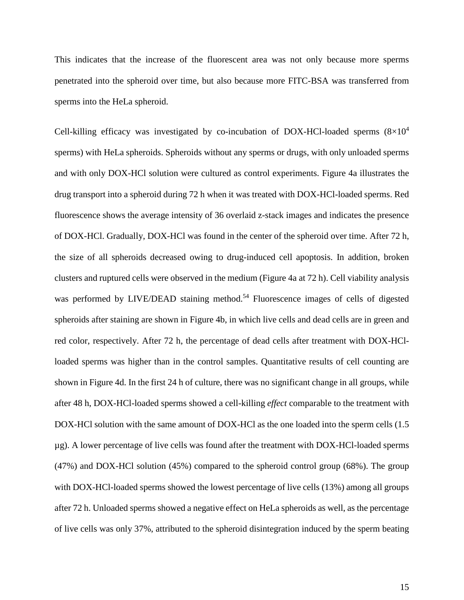This indicates that the increase of the fluorescent area was not only because more sperms penetrated into the spheroid over time, but also because more FITC-BSA was transferred from sperms into the HeLa spheroid.

Cell-killing efficacy was investigated by co-incubation of DOX-HCl-loaded sperms  $(8\times10^4$ sperms) with HeLa spheroids. Spheroids without any sperms or drugs, with only unloaded sperms and with only DOX-HCl solution were cultured as control experiments. Figure 4a illustrates the drug transport into a spheroid during 72 h when it was treated with DOX-HCl-loaded sperms. Red fluorescence shows the average intensity of 36 overlaid z-stack images and indicates the presence of DOX-HCl. Gradually, DOX-HCl was found in the center of the spheroid over time. After 72 h, the size of all spheroids decreased owing to drug-induced cell apoptosis. In addition, broken clusters and ruptured cells were observed in the medium (Figure 4a at 72 h). Cell viability analysis was performed by LIVE/DEAD staining method.<sup>54</sup> Fluorescence images of cells of digested spheroids after staining are shown in Figure 4b, in which live cells and dead cells are in green and red color, respectively. After 72 h, the percentage of dead cells after treatment with DOX-HClloaded sperms was higher than in the control samples. Quantitative results of cell counting are shown in Figure 4d. In the first 24 h of culture, there was no significant change in all groups, while after 48 h, DOX-HCl-loaded sperms showed a cell-killing *effect* comparable to the treatment with DOX-HCl solution with the same amount of DOX-HCl as the one loaded into the sperm cells (1.5 µg). A lower percentage of live cells was found after the treatment with DOX-HCl-loaded sperms (47%) and DOX-HCl solution (45%) compared to the spheroid control group (68%). The group with DOX-HCl-loaded sperms showed the lowest percentage of live cells (13%) among all groups after 72 h. Unloaded sperms showed a negative effect on HeLa spheroids as well, as the percentage of live cells was only 37%, attributed to the spheroid disintegration induced by the sperm beating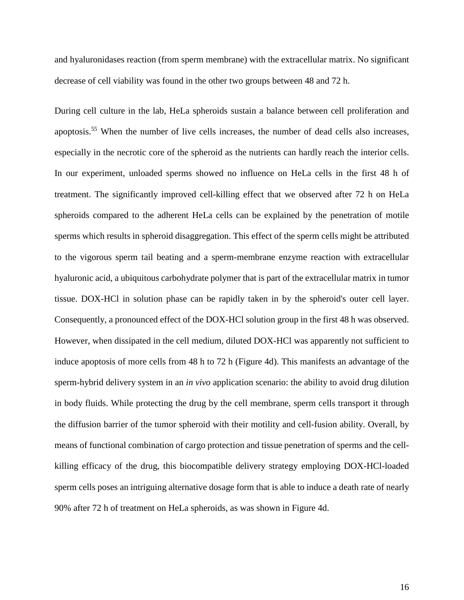and hyaluronidases reaction (from sperm membrane) with the extracellular matrix. No significant decrease of cell viability was found in the other two groups between 48 and 72 h.

During cell culture in the lab, HeLa spheroids sustain a balance between cell proliferation and apoptosis[.55](#page-24-9) When the number of live cells increases, the number of dead cells also increases, especially in the necrotic core of the spheroid as the nutrients can hardly reach the interior cells. In our experiment, unloaded sperms showed no influence on HeLa cells in the first 48 h of treatment. The significantly improved cell-killing effect that we observed after 72 h on HeLa spheroids compared to the adherent HeLa cells can be explained by the penetration of motile sperms which results in spheroid disaggregation. This effect of the sperm cells might be attributed to the vigorous sperm tail beating and a sperm-membrane enzyme reaction with extracellular hyaluronic acid, a ubiquitous carbohydrate polymer that is part of the extracellular matrix in tumor tissue. DOX-HCl in solution phase can be rapidly taken in by the spheroid's outer cell layer. Consequently, a pronounced effect of the DOX-HCl solution group in the first 48 h was observed. However, when dissipated in the cell medium, diluted DOX-HCl was apparently not sufficient to induce apoptosis of more cells from 48 h to 72 h (Figure 4d). This manifests an advantage of the sperm-hybrid delivery system in an *in vivo* application scenario: the ability to avoid drug dilution in body fluids. While protecting the drug by the cell membrane, sperm cells transport it through the diffusion barrier of the tumor spheroid with their motility and cell-fusion ability. Overall, by means of functional combination of cargo protection and tissue penetration of sperms and the cellkilling efficacy of the drug, this biocompatible delivery strategy employing DOX-HCl-loaded sperm cells poses an intriguing alternative dosage form that is able to induce a death rate of nearly 90% after 72 h of treatment on HeLa spheroids, as was shown in Figure 4d.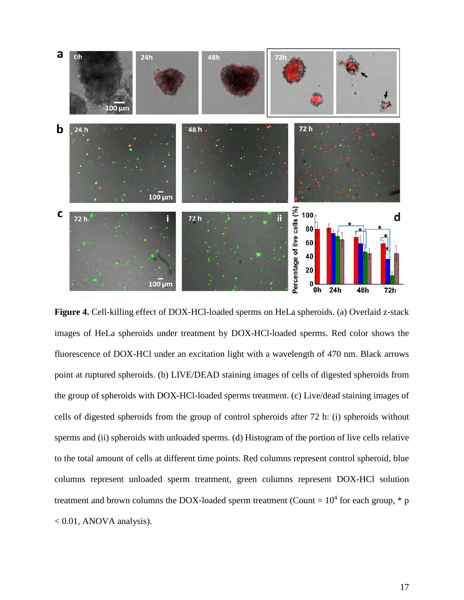

**Figure 4.** Cell-killing effect of DOX-HCl-loaded sperms on HeLa spheroids. (a) Overlaid z-stack images of HeLa spheroids under treatment by DOX-HCl-loaded sperms. Red color shows the fluorescence of DOX-HCl under an excitation light with a wavelength of 470 nm. Black arrows point at ruptured spheroids. (b) LIVE/DEAD staining images of cells of digested spheroids from the group of spheroids with DOX-HCl-loaded sperms treatment. (c) Live/dead staining images of cells of digested spheroids from the group of control spheroids after 72 h: (i) spheroids without sperms and (ii) spheroids with unloaded sperms. (d) Histogram of the portion of live cells relative to the total amount of cells at different time points. Red columns represent control spheroid, blue columns represent unloaded sperm treatment, green columns represent DOX-HCl solution treatment and brown columns the DOX-loaded sperm treatment (Count =  $10^4$  for each group, \* p  $< 0.01$ , ANOVA analysis).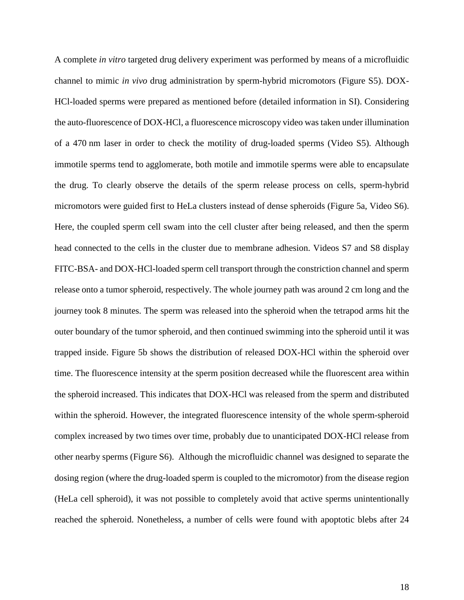A complete *in vitro* targeted drug delivery experiment was performed by means of a microfluidic channel to mimic *in vivo* drug administration by sperm-hybrid micromotors (Figure S5). DOX-HCl-loaded sperms were prepared as mentioned before (detailed information in SI). Considering the auto-fluorescence of DOX-HCl, a fluorescence microscopy video was taken under illumination of a 470 nm laser in order to check the motility of drug-loaded sperms (Video S5). Although immotile sperms tend to agglomerate, both motile and immotile sperms were able to encapsulate the drug. To clearly observe the details of the sperm release process on cells, sperm-hybrid micromotors were guided first to HeLa clusters instead of dense spheroids (Figure 5a, Video S6). Here, the coupled sperm cell swam into the cell cluster after being released, and then the sperm head connected to the cells in the cluster due to membrane adhesion. Videos S7 and S8 display FITC-BSA- and DOX-HCl-loaded sperm cell transport through the constriction channel and sperm release onto a tumor spheroid, respectively. The whole journey path was around 2 cm long and the journey took 8 minutes. The sperm was released into the spheroid when the tetrapod arms hit the outer boundary of the tumor spheroid, and then continued swimming into the spheroid until it was trapped inside. Figure 5b shows the distribution of released DOX-HCl within the spheroid over time. The fluorescence intensity at the sperm position decreased while the fluorescent area within the spheroid increased. This indicates that DOX-HCl was released from the sperm and distributed within the spheroid. However, the integrated fluorescence intensity of the whole sperm-spheroid complex increased by two times over time, probably due to unanticipated DOX-HCl release from other nearby sperms (Figure S6). Although the microfluidic channel was designed to separate the dosing region (where the drug-loaded sperm is coupled to the micromotor) from the disease region (HeLa cell spheroid), it was not possible to completely avoid that active sperms unintentionally reached the spheroid. Nonetheless, a number of cells were found with apoptotic blebs after 24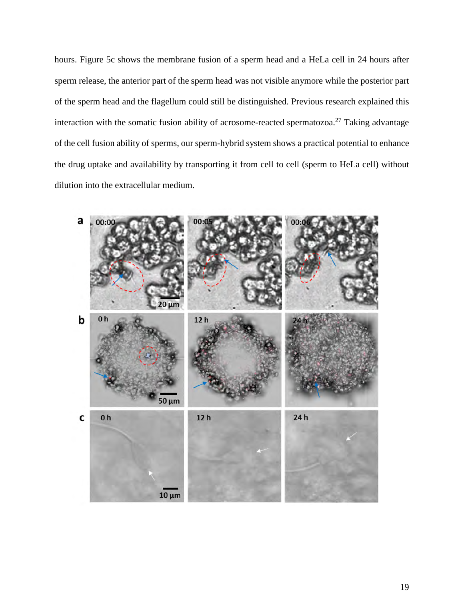hours. Figure 5c shows the membrane fusion of a sperm head and a HeLa cell in 24 hours after sperm release, the anterior part of the sperm head was not visible anymore while the posterior part of the sperm head and the flagellum could still be distinguished. Previous research explained this interaction with the somatic fusion ability of acrosome-reacted spermatozoa.<sup>27</sup> Taking advantage of the cell fusion ability of sperms, our sperm-hybrid system shows a practical potential to enhance the drug uptake and availability by transporting it from cell to cell (sperm to HeLa cell) without dilution into the extracellular medium.

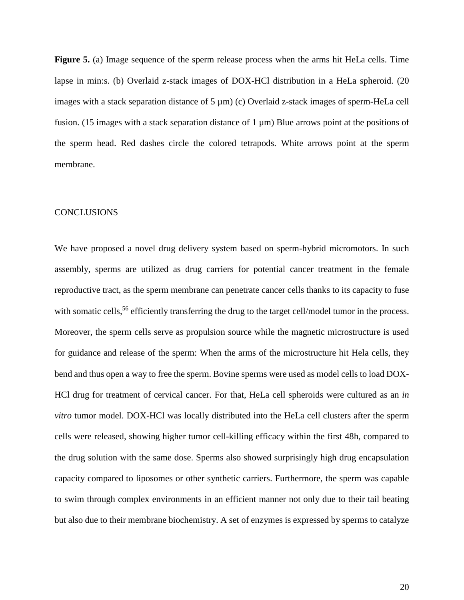**Figure 5.** (a) Image sequence of the sperm release process when the arms hit HeLa cells. Time lapse in min:s. (b) Overlaid z-stack images of DOX-HCl distribution in a HeLa spheroid. (20 images with a stack separation distance of 5 µm) (c) Overlaid z-stack images of sperm-HeLa cell fusion. (15 images with a stack separation distance of 1 µm) Blue arrows point at the positions of the sperm head. Red dashes circle the colored tetrapods. White arrows point at the sperm membrane.

### **CONCLUSIONS**

We have proposed a novel drug delivery system based on sperm-hybrid micromotors. In such assembly, sperms are utilized as drug carriers for potential cancer treatment in the female reproductive tract, as the sperm membrane can penetrate cancer cells thanks to its capacity to fuse with somatic cells,<sup>[56](#page-24-10)</sup> efficiently transferring the drug to the target cell/model tumor in the process. Moreover, the sperm cells serve as propulsion source while the magnetic microstructure is used for guidance and release of the sperm: When the arms of the microstructure hit Hela cells, they bend and thus open a way to free the sperm. Bovine sperms were used as model cells to load DOX-HCl drug for treatment of cervical cancer. For that, HeLa cell spheroids were cultured as an *in vitro* tumor model. DOX-HCl was locally distributed into the HeLa cell clusters after the sperm cells were released, showing higher tumor cell-killing efficacy within the first 48h, compared to the drug solution with the same dose. Sperms also showed surprisingly high drug encapsulation capacity compared to liposomes or other synthetic carriers. Furthermore, the sperm was capable to swim through complex environments in an efficient manner not only due to their tail beating but also due to their membrane biochemistry. A set of enzymes is expressed by sperms to catalyze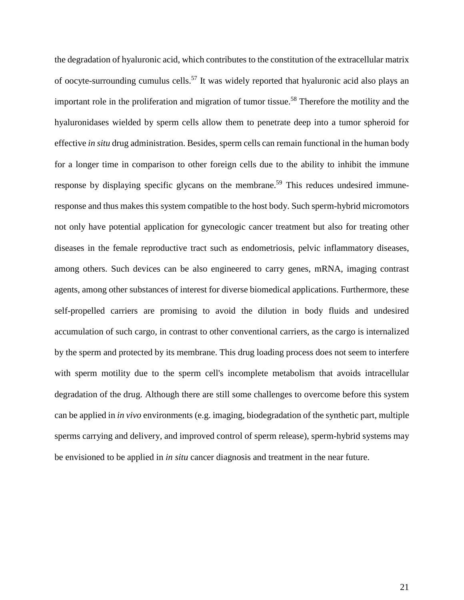the degradation of hyaluronic acid, which contributes to the constitution of the extracellular matrix of oocyte-surrounding cumulus cells[.57](#page-24-11) It was widely reported that hyaluronic acid also plays an important role in the proliferation and migration of tumor tissue.<sup>[58](#page-24-12)</sup> Therefore the motility and the hyaluronidases wielded by sperm cells allow them to penetrate deep into a tumor spheroid for effective *in situ* drug administration. Besides, sperm cells can remain functional in the human body for a longer time in comparison to other foreign cells due to the ability to inhibit the immune response by displaying specific glycans on the membrane.<sup>59</sup> This reduces undesired immuneresponse and thus makes this system compatible to the host body. Such sperm-hybrid micromotors not only have potential application for gynecologic cancer treatment but also for treating other diseases in the female reproductive tract such as endometriosis, pelvic inflammatory diseases, among others. Such devices can be also engineered to carry genes, mRNA, imaging contrast agents, among other substances of interest for diverse biomedical applications. Furthermore, these self-propelled carriers are promising to avoid the dilution in body fluids and undesired accumulation of such cargo, in contrast to other conventional carriers, as the cargo is internalized by the sperm and protected by its membrane. This drug loading process does not seem to interfere with sperm motility due to the sperm cell's incomplete metabolism that avoids intracellular degradation of the drug. Although there are still some challenges to overcome before this system can be applied in *in vivo* environments (e.g. imaging, biodegradation of the synthetic part, multiple sperms carrying and delivery, and improved control of sperm release), sperm-hybrid systems may be envisioned to be applied in *in situ* cancer diagnosis and treatment in the near future.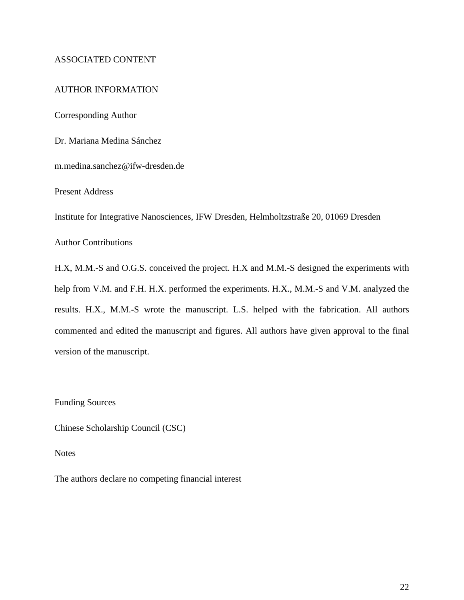# ASSOCIATED CONTENT

### AUTHOR INFORMATION

Corresponding Author

Dr. Mariana Medina Sánchez

m.medina.sanchez@ifw-dresden.de

Present Address

Institute for Integrative Nanosciences, IFW Dresden, Helmholtzstraße 20, 01069 Dresden

Author Contributions

H.X, M.M.-S and O.G.S. conceived the project. H.X and M.M.-S designed the experiments with help from V.M. and F.H. H.X. performed the experiments. H.X., M.M.-S and V.M. analyzed the results. H.X., M.M.-S wrote the manuscript. L.S. helped with the fabrication. All authors commented and edited the manuscript and figures. All authors have given approval to the final version of the manuscript.

Funding Sources

Chinese Scholarship Council (CSC)

**Notes** 

The authors declare no competing financial interest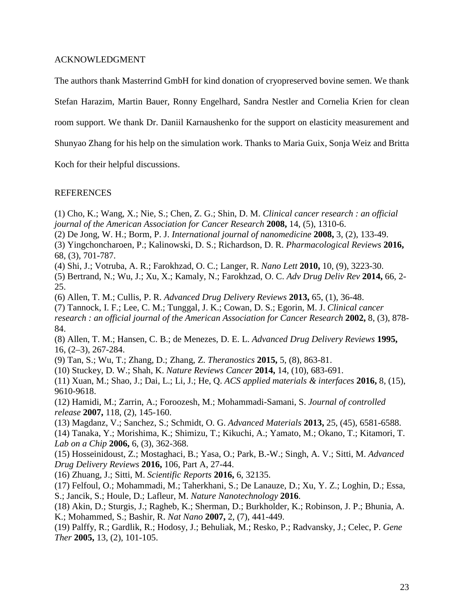## ACKNOWLEDGMENT

The authors thank Masterrind GmbH for kind donation of cryopreserved bovine semen. We thank

Stefan Harazim, Martin Bauer, Ronny Engelhard, Sandra Nestler and Cornelia Krien for clean

room support. We thank Dr. Daniil Karnaushenko for the support on elasticity measurement and

Shunyao Zhang for his help on the simulation work. Thanks to Maria Guix, Sonja Weiz and Britta

Koch for their helpful discussions.

### REFERENCES

<span id="page-22-0"></span>(1) Cho, K.; Wang, X.; Nie, S.; Chen, Z. G.; Shin, D. M. *Clinical cancer research : an official journal of the American Association for Cancer Research* **2008,** 14, (5), 1310-6.

<span id="page-22-1"></span>(2) De Jong, W. H.; Borm, P. J. *International journal of nanomedicine* **2008,** 3, (2), 133-49.

<span id="page-22-2"></span>(3) Yingchoncharoen, P.; Kalinowski, D. S.; Richardson, D. R. *Pharmacological Reviews* **2016,** 68, (3), 701-787.

<span id="page-22-3"></span>(4) Shi, J.; Votruba, A. R.; Farokhzad, O. C.; Langer, R. *Nano Lett* **2010,** 10, (9), 3223-30.

<span id="page-22-4"></span>(5) Bertrand, N.; Wu, J.; Xu, X.; Kamaly, N.; Farokhzad, O. C. *Adv Drug Deliv Rev* **2014,** 66, 2- 25.

<span id="page-22-5"></span>(6) Allen, T. M.; Cullis, P. R. *Advanced Drug Delivery Reviews* **2013,** 65, (1), 36-48.

<span id="page-22-6"></span>(7) Tannock, I. F.; Lee, C. M.; Tunggal, J. K.; Cowan, D. S.; Egorin, M. J. *Clinical cancer research : an official journal of the American Association for Cancer Research* **2002,** 8, (3), 878- 84.

<span id="page-22-7"></span>(8) Allen, T. M.; Hansen, C. B.; de Menezes, D. E. L. *Advanced Drug Delivery Reviews* **1995,** 16, (2–3), 267-284.

<span id="page-22-8"></span>(9) Tan, S.; Wu, T.; Zhang, D.; Zhang, Z. *Theranostics* **2015,** 5, (8), 863-81.

<span id="page-22-9"></span>(10) Stuckey, D. W.; Shah, K. *Nature Reviews Cancer* **2014,** 14, (10), 683-691.

<span id="page-22-10"></span>(11) Xuan, M.; Shao, J.; Dai, L.; Li, J.; He, Q. *ACS applied materials & interfaces* **2016,** 8, (15), 9610-9618.

<span id="page-22-11"></span>(12) Hamidi, M.; Zarrin, A.; Foroozesh, M.; Mohammadi-Samani, S. *Journal of controlled release* **2007,** 118, (2), 145-160.

<span id="page-22-12"></span>(13) Magdanz, V.; Sanchez, S.; Schmidt, O. G. *Advanced Materials* **2013,** 25, (45), 6581-6588.

<span id="page-22-13"></span>(14) Tanaka, Y.; Morishima, K.; Shimizu, T.; Kikuchi, A.; Yamato, M.; Okano, T.; Kitamori, T. *Lab on a Chip* **2006,** 6, (3), 362-368.

<span id="page-22-14"></span>(15) Hosseinidoust, Z.; Mostaghaci, B.; Yasa, O.; Park, B.-W.; Singh, A. V.; Sitti, M. *Advanced Drug Delivery Reviews* **2016,** 106, Part A, 27-44.

<span id="page-22-15"></span>(16) Zhuang, J.; Sitti, M. *Scientific Reports* **2016,** 6, 32135.

<span id="page-22-16"></span>(17) Felfoul, O.; Mohammadi, M.; Taherkhani, S.; De Lanauze, D.; Xu, Y. Z.; Loghin, D.; Essa, S.; Jancik, S.; Houle, D.; Lafleur, M. *Nature Nanotechnology* **2016**.

<span id="page-22-17"></span>(18) Akin, D.; Sturgis, J.; Ragheb, K.; Sherman, D.; Burkholder, K.; Robinson, J. P.; Bhunia, A. K.; Mohammed, S.; Bashir, R. *Nat Nano* **2007,** 2, (7), 441-449.

<span id="page-22-18"></span>(19) Palffy, R.; Gardlik, R.; Hodosy, J.; Behuliak, M.; Resko, P.; Radvansky, J.; Celec, P. *Gene Ther* **2005,** 13, (2), 101-105.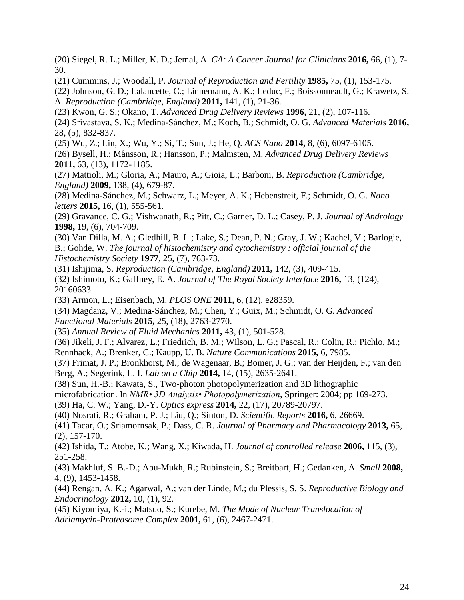<span id="page-23-0"></span>(20) Siegel, R. L.; Miller, K. D.; Jemal, A. *CA: A Cancer Journal for Clinicians* **2016,** 66, (1), 7- 30.

<span id="page-23-1"></span>(21) Cummins, J.; Woodall, P. *Journal of Reproduction and Fertility* **1985,** 75, (1), 153-175.

<span id="page-23-2"></span>(22) Johnson, G. D.; Lalancette, C.; Linnemann, A. K.; Leduc, F.; Boissonneault, G.; Krawetz, S. A. *Reproduction (Cambridge, England)* **2011,** 141, (1), 21-36.

<span id="page-23-3"></span>(23) Kwon, G. S.; Okano, T. *Advanced Drug Delivery Reviews* **1996,** 21, (2), 107-116.

<span id="page-23-4"></span>(24) Srivastava, S. K.; Medina-Sánchez, M.; Koch, B.; Schmidt, O. G. *Advanced Materials* **2016,** 28, (5), 832-837.

<span id="page-23-5"></span>(25) Wu, Z.; Lin, X.; Wu, Y.; Si, T.; Sun, J.; He, Q. *ACS Nano* **2014,** 8, (6), 6097-6105.

<span id="page-23-6"></span>(26) Bysell, H.; Månsson, R.; Hansson, P.; Malmsten, M. *Advanced Drug Delivery Reviews*  **2011,** 63, (13), 1172-1185.

<span id="page-23-7"></span>(27) Mattioli, M.; Gloria, A.; Mauro, A.; Gioia, L.; Barboni, B. *Reproduction (Cambridge, England)* **2009,** 138, (4), 679-87.

<span id="page-23-8"></span>(28) Medina-Sánchez, M.; Schwarz, L.; Meyer, A. K.; Hebenstreit, F.; Schmidt, O. G. *Nano letters* **2015,** 16, (1), 555-561.

<span id="page-23-9"></span>(29) Gravance, C. G.; Vishwanath, R.; Pitt, C.; Garner, D. L.; Casey, P. J. *Journal of Andrology*  **1998,** 19, (6), 704-709.

<span id="page-23-10"></span>(30) Van Dilla, M. A.; Gledhill, B. L.; Lake, S.; Dean, P. N.; Gray, J. W.; Kachel, V.; Barlogie, B.; Gohde, W. *The journal of histochemistry and cytochemistry : official journal of the Histochemistry Society* **1977,** 25, (7), 763-73.

<span id="page-23-11"></span>(31) Ishijima, S. *Reproduction (Cambridge, England)* **2011,** 142, (3), 409-415.

<span id="page-23-12"></span>(32) Ishimoto, K.; Gaffney, E. A. *Journal of The Royal Society Interface* **2016,** 13, (124), 20160633.

<span id="page-23-13"></span>(33) Armon, L.; Eisenbach, M. *PLOS ONE* **2011,** 6, (12), e28359.

<span id="page-23-14"></span>(34) Magdanz, V.; Medina-Sánchez, M.; Chen, Y.; Guix, M.; Schmidt, O. G. *Advanced Functional Materials* **2015,** 25, (18), 2763-2770.

<span id="page-23-15"></span>(35) *Annual Review of Fluid Mechanics* **2011,** 43, (1), 501-528.

<span id="page-23-16"></span>(36) Jikeli, J. F.; Alvarez, L.; Friedrich, B. M.; Wilson, L. G.; Pascal, R.; Colin, R.; Pichlo, M.; Rennhack, A.; Brenker, C.; Kaupp, U. B. *Nature Communications* **2015,** 6, 7985.

<span id="page-23-17"></span>(37) Frimat, J. P.; Bronkhorst, M.; de Wagenaar, B.; Bomer, J. G.; van der Heijden, F.; van den Berg, A.; Segerink, L. I. *Lab on a Chip* **2014,** 14, (15), 2635-2641.

<span id="page-23-18"></span>(38) Sun, H.-B.; Kawata, S., Two-photon photopolymerization and 3D lithographic

microfabrication. In *NMR• 3D Analysis• Photopolymerization*, Springer: 2004; pp 169-273.

<span id="page-23-19"></span>(39) Ha, C. W.; Yang, D.-Y. *Optics express* **2014,** 22, (17), 20789-20797.

<span id="page-23-20"></span>(40) Nosrati, R.; Graham, P. J.; Liu, Q.; Sinton, D. *Scientific Reports* **2016,** 6, 26669.

<span id="page-23-21"></span>(41) Tacar, O.; Sriamornsak, P.; Dass, C. R. *Journal of Pharmacy and Pharmacology* **2013,** 65, (2), 157-170.

<span id="page-23-22"></span>(42) Ishida, T.; Atobe, K.; Wang, X.; Kiwada, H. *Journal of controlled release* **2006,** 115, (3), 251-258.

<span id="page-23-23"></span>(43) Makhluf, S. B.-D.; Abu-Mukh, R.; Rubinstein, S.; Breitbart, H.; Gedanken, A. *Small* **2008,** 4, (9), 1453-1458.

<span id="page-23-24"></span>(44) Rengan, A. K.; Agarwal, A.; van der Linde, M.; du Plessis, S. S. *Reproductive Biology and Endocrinology* **2012,** 10, (1), 92.

<span id="page-23-25"></span>(45) Kiyomiya, K.-i.; Matsuo, S.; Kurebe, M. *The Mode of Nuclear Translocation of Adriamycin-Proteasome Complex* **2001,** 61, (6), 2467-2471.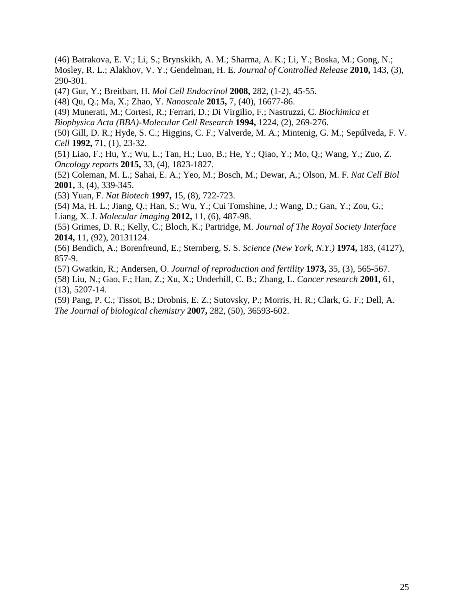<span id="page-24-0"></span>(46) Batrakova, E. V.; Li, S.; Brynskikh, A. M.; Sharma, A. K.; Li, Y.; Boska, M.; Gong, N.; Mosley, R. L.; Alakhov, V. Y.; Gendelman, H. E. *Journal of Controlled Release* **2010,** 143, (3), 290-301.

<span id="page-24-1"></span>(47) Gur, Y.; Breitbart, H. *Mol Cell Endocrinol* **2008,** 282, (1-2), 45-55.

<span id="page-24-2"></span>(48) Qu, Q.; Ma, X.; Zhao, Y. *Nanoscale* **2015,** 7, (40), 16677-86.

<span id="page-24-3"></span>(49) Munerati, M.; Cortesi, R.; Ferrari, D.; Di Virgilio, F.; Nastruzzi, C. *Biochimica et* 

*Biophysica Acta (BBA)-Molecular Cell Research* **1994,** 1224, (2), 269-276.

<span id="page-24-4"></span>(50) Gill, D. R.; Hyde, S. C.; Higgins, C. F.; Valverde, M. A.; Mintenig, G. M.; Sepúlveda, F. V. *Cell* **1992,** 71, (1), 23-32.

<span id="page-24-5"></span>(51) Liao, F.; Hu, Y.; Wu, L.; Tan, H.; Luo, B.; He, Y.; Qiao, Y.; Mo, Q.; Wang, Y.; Zuo, Z. *Oncology reports* **2015,** 33, (4), 1823-1827.

<span id="page-24-6"></span>(52) Coleman, M. L.; Sahai, E. A.; Yeo, M.; Bosch, M.; Dewar, A.; Olson, M. F. *Nat Cell Biol*  **2001,** 3, (4), 339-345.

<span id="page-24-7"></span>(53) Yuan, F. *Nat Biotech* **1997,** 15, (8), 722-723.

<span id="page-24-8"></span>(54) Ma, H. L.; Jiang, Q.; Han, S.; Wu, Y.; Cui Tomshine, J.; Wang, D.; Gan, Y.; Zou, G.; Liang, X. J. *Molecular imaging* **2012,** 11, (6), 487-98.

<span id="page-24-9"></span>(55) Grimes, D. R.; Kelly, C.; Bloch, K.; Partridge, M. *Journal of The Royal Society Interface*  **2014,** 11, (92), 20131124.

<span id="page-24-10"></span>(56) Bendich, A.; Borenfreund, E.; Sternberg, S. S. *Science (New York, N.Y.)* **1974,** 183, (4127), 857-9.

<span id="page-24-11"></span>(57) Gwatkin, R.; Andersen, O. *Journal of reproduction and fertility* **1973,** 35, (3), 565-567.

<span id="page-24-12"></span>(58) Liu, N.; Gao, F.; Han, Z.; Xu, X.; Underhill, C. B.; Zhang, L. *Cancer research* **2001,** 61, (13), 5207-14.

<span id="page-24-13"></span>(59) Pang, P. C.; Tissot, B.; Drobnis, E. Z.; Sutovsky, P.; Morris, H. R.; Clark, G. F.; Dell, A. *The Journal of biological chemistry* **2007,** 282, (50), 36593-602.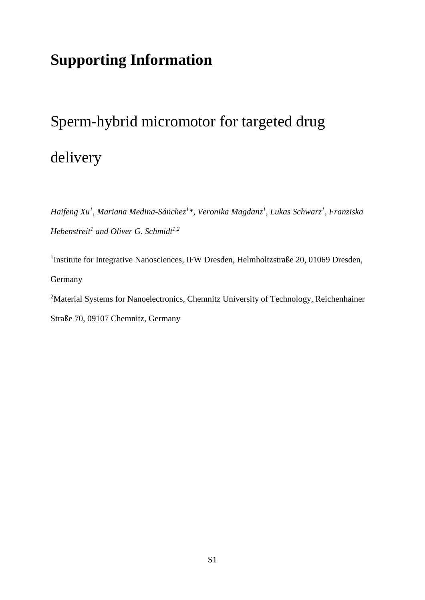# **Supporting Information**

# Sperm-hybrid micromotor for targeted drug delivery

*Haifeng Xu1 , Mariana Medina-Sánchez<sup>1</sup> \*, Veronika Magdanz<sup>1</sup> , Lukas Schwarz<sup>1</sup> , Franziska Hebenstreit<sup>1</sup> and Oliver G. Schmidt1,2*

<sup>1</sup>Institute for Integrative Nanosciences, IFW Dresden, Helmholtzstraße 20, 01069 Dresden, Germany

<sup>2</sup>Material Systems for Nanoelectronics, Chemnitz University of Technology, Reichenhainer Straße 70, 09107 Chemnitz, Germany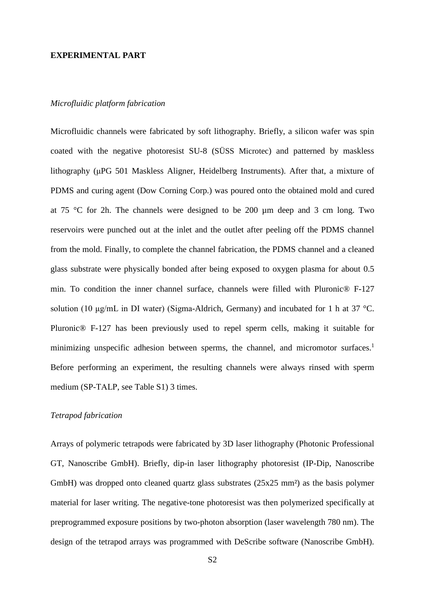### **EXPERIMENTAL PART**

### *Microfluidic platform fabrication*

Microfluidic channels were fabricated by soft lithography. Briefly, a silicon wafer was spin coated with the negative photoresist SU-8 (SÜSS Microtec) and patterned by maskless lithography (μPG 501 Maskless Aligner, Heidelberg Instruments). After that, a mixture of PDMS and curing agent (Dow Corning Corp.) was poured onto the obtained mold and cured at 75  $\degree$ C for 2h. The channels were designed to be 200  $\mu$ m deep and 3 cm long. Two reservoirs were punched out at the inlet and the outlet after peeling off the PDMS channel from the mold. Finally, to complete the channel fabrication, the PDMS channel and a cleaned glass substrate were physically bonded after being exposed to oxygen plasma for about 0.5 min. To condition the inner channel surface, channels were filled with Pluronic® F-127 solution (10 μg/mL in DI water) (Sigma-Aldrich, Germany) and incubated for 1 h at 37 °C. Pluronic® F-127 has been previously used to repel sperm cells, making it suitable for minimizing unspecific adhesion between sperms, the channel, and micromotor surfaces.<sup>[1](#page-35-0)</sup> Before performing an experiment, the resulting channels were always rinsed with sperm medium (SP-TALP, see Table S1) 3 times.

### *Tetrapod fabrication*

Arrays of polymeric tetrapods were fabricated by 3D laser lithography (Photonic Professional GT, Nanoscribe GmbH). Briefly, dip-in laser lithography photoresist (IP-Dip, Nanoscribe GmbH) was dropped onto cleaned quartz glass substrates (25x25 mm²) as the basis polymer material for laser writing. The negative-tone photoresist was then polymerized specifically at preprogrammed exposure positions by two-photon absorption (laser wavelength 780 nm). The design of the tetrapod arrays was programmed with DeScribe software (Nanoscribe GmbH).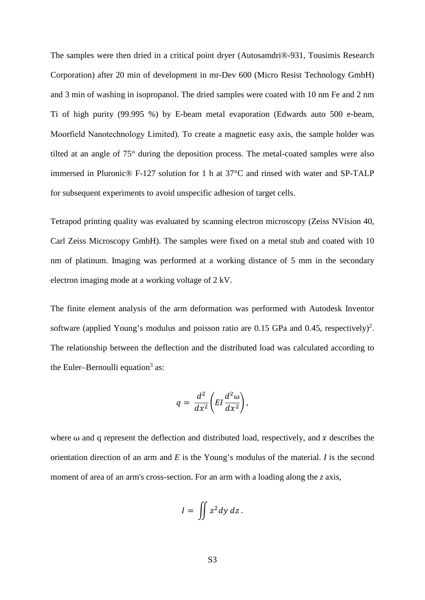The samples were then dried in a critical point dryer (Autosamdri®-931, Tousimis Research Corporation) after 20 min of development in mr-Dev 600 (Micro Resist Technology GmbH) and 3 min of washing in isopropanol. The dried samples were coated with 10 nm Fe and 2 nm Ti of high purity (99.995 %) by E-beam metal evaporation (Edwards auto 500 e-beam, Moorfield Nanotechnology Limited). To create a magnetic easy axis, the sample holder was tilted at an angle of 75° during the deposition process. The metal-coated samples were also immersed in Pluronic® F-127 solution for 1 h at 37°C and rinsed with water and SP-TALP for subsequent experiments to avoid unspecific adhesion of target cells.

Tetrapod printing quality was evaluated by scanning electron microscopy (Zeiss NVision 40, Carl Zeiss Microscopy GmbH). The samples were fixed on a metal stub and coated with 10 nm of platinum. Imaging was performed at a working distance of 5 mm in the secondary electron imaging mode at a working voltage of 2 kV.

The finite element analysis of the arm deformation was performed with Autodesk Inventor software (applied Young's modulus and poisson ratio are  $0.15$  $0.15$  $0.15$  GPa and  $0.45$ , respectively)<sup>2</sup>. The relationship between the deflection and the distributed load was calculated according to the Euler–Bernoulli equation<sup>3</sup> as:

$$
q = \frac{d^2}{dx^2} \bigg( EI \frac{d^2 \omega}{dx^2} \bigg),
$$

where  $\omega$  and q represent the deflection and distributed load, respectively, and x describes the orientation direction of an arm and *E* is the Young's modulus of the material. *I* is the second moment of area of an arm's cross-section. For an arm with a loading along the *z* axis,

$$
I = \iint z^2 dy dz.
$$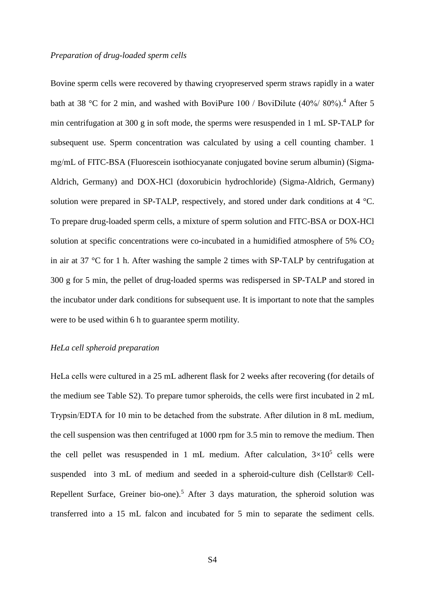### *Preparation of drug-loaded sperm cells*

Bovine sperm cells were recovered by thawing cryopreserved sperm straws rapidly in a water bath at 38 °C for 2 min, and washed with BoviPure 100 / BoviDilute  $(40\%/80\%)$  $(40\%/80\%)$  $(40\%/80\%)$ <sup>4</sup> After 5 min centrifugation at 300 g in soft mode, the sperms were resuspended in 1 mL SP-TALP for subsequent use. Sperm concentration was calculated by using a cell counting chamber. 1 mg/mL of FITC-BSA (Fluorescein isothiocyanate conjugated bovine serum albumin) (Sigma-Aldrich, Germany) and DOX-HCl (doxorubicin hydrochloride) (Sigma-Aldrich, Germany) solution were prepared in SP-TALP, respectively, and stored under dark conditions at 4 °C. To prepare drug-loaded sperm cells, a mixture of sperm solution and FITC-BSA or DOX-HCl solution at specific concentrations were co-incubated in a humidified atmosphere of 5%  $CO<sub>2</sub>$ in air at 37 °C for 1 h. After washing the sample 2 times with SP-TALP by centrifugation at 300 g for 5 min, the pellet of drug-loaded sperms was redispersed in SP-TALP and stored in the incubator under dark conditions for subsequent use. It is important to note that the samples were to be used within 6 h to guarantee sperm motility.

### *HeLa cell spheroid preparation*

HeLa cells were cultured in a 25 mL adherent flask for 2 weeks after recovering (for details of the medium see Table S2). To prepare tumor spheroids, the cells were first incubated in 2 mL Trypsin/EDTA for 10 min to be detached from the substrate. After dilution in 8 mL medium, the cell suspension was then centrifuged at 1000 rpm for 3.5 min to remove the medium. Then the cell pellet was resuspended in 1 mL medium. After calculation,  $3\times10^5$  cells were suspended into 3 mL of medium and seeded in a spheroid-culture dish (Cellstar® Cell-Repellent Surface, Greiner bio-one).<sup>5</sup> After 3 days maturation, the spheroid solution was transferred into a 15 mL falcon and incubated for 5 min to separate the sediment cells.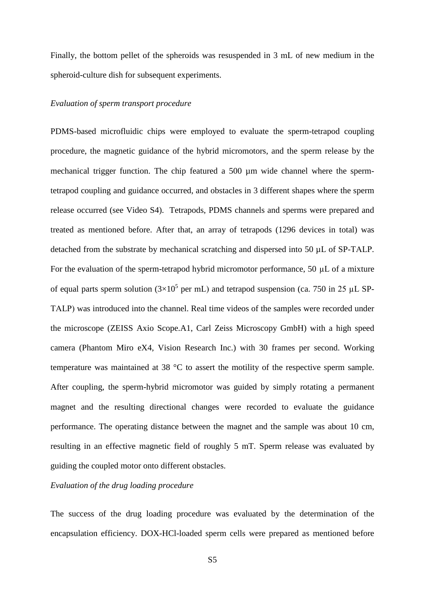Finally, the bottom pellet of the spheroids was resuspended in 3 mL of new medium in the spheroid-culture dish for subsequent experiments.

### *Evaluation of sperm transport procedure*

PDMS-based microfluidic chips were employed to evaluate the sperm-tetrapod coupling procedure, the magnetic guidance of the hybrid micromotors, and the sperm release by the mechanical trigger function. The chip featured a 500 µm wide channel where the spermtetrapod coupling and guidance occurred, and obstacles in 3 different shapes where the sperm release occurred (see Video S4). Tetrapods, PDMS channels and sperms were prepared and treated as mentioned before. After that, an array of tetrapods (1296 devices in total) was detached from the substrate by mechanical scratching and dispersed into 50 µL of SP-TALP. For the evaluation of the sperm-tetrapod hybrid micromotor performance, 50 µL of a mixture of equal parts sperm solution  $(3\times10^5$  per mL) and tetrapod suspension (ca. 750 in 25 µL SP-TALP) was introduced into the channel. Real time videos of the samples were recorded under the microscope (ZEISS Axio Scope.A1, Carl Zeiss Microscopy GmbH) with a high speed camera (Phantom Miro eX4, Vision Research Inc.) with 30 frames per second. Working temperature was maintained at 38 °C to assert the motility of the respective sperm sample. After coupling, the sperm-hybrid micromotor was guided by simply rotating a permanent magnet and the resulting directional changes were recorded to evaluate the guidance performance. The operating distance between the magnet and the sample was about 10 cm, resulting in an effective magnetic field of roughly 5 mT. Sperm release was evaluated by guiding the coupled motor onto different obstacles.

### *Evaluation of the drug loading procedure*

The success of the drug loading procedure was evaluated by the determination of the encapsulation efficiency. DOX-HCl-loaded sperm cells were prepared as mentioned before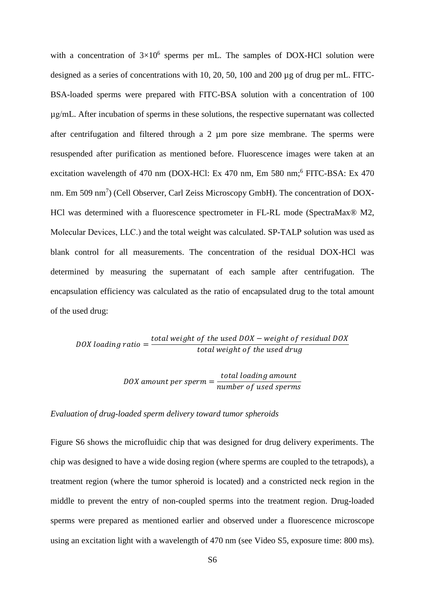with a concentration of  $3\times10^6$  sperms per mL. The samples of DOX-HCl solution were designed as a series of concentrations with 10, 20, 50, 100 and 200 µg of drug per mL. FITC-BSA-loaded sperms were prepared with FITC-BSA solution with a concentration of 100 µg/mL. After incubation of sperms in these solutions, the respective supernatant was collected after centrifugation and filtered through a 2 µm pore size membrane. The sperms were resuspended after purification as mentioned before. Fluorescence images were taken at an excitation wavelength of 470 nm (DOX-HCl: Ex 470 nm, Em 580 nm;<sup>6</sup> FITC-BSA: Ex 470 nm. Em 509 nm<sup>7</sup>[\)](#page-35-6) (Cell Observer, Carl Zeiss Microscopy GmbH). The concentration of DOX-HCl was determined with a fluorescence spectrometer in FL-RL mode (SpectraMax® M2, Molecular Devices, LLC.) and the total weight was calculated. SP-TALP solution was used as blank control for all measurements. The concentration of the residual DOX-HCl was determined by measuring the supernatant of each sample after centrifugation. The encapsulation efficiency was calculated as the ratio of encapsulated drug to the total amount of the used drug:

$$
DOX~loading~ratio = \frac{total~weight~of~the~used~DOX - weight~of~residual~DOX}{total~weight~of~the~used~drug}
$$

DOX amount per sperm =  $\frac{\text{total loading am}}{\text{number of used s}}$ 

### *Evaluation of drug-loaded sperm delivery toward tumor spheroids*

Figure S6 shows the microfluidic chip that was designed for drug delivery experiments. The chip was designed to have a wide dosing region (where sperms are coupled to the tetrapods), a treatment region (where the tumor spheroid is located) and a constricted neck region in the middle to prevent the entry of non-coupled sperms into the treatment region. Drug-loaded sperms were prepared as mentioned earlier and observed under a fluorescence microscope using an excitation light with a wavelength of 470 nm (see Video S5, exposure time: 800 ms).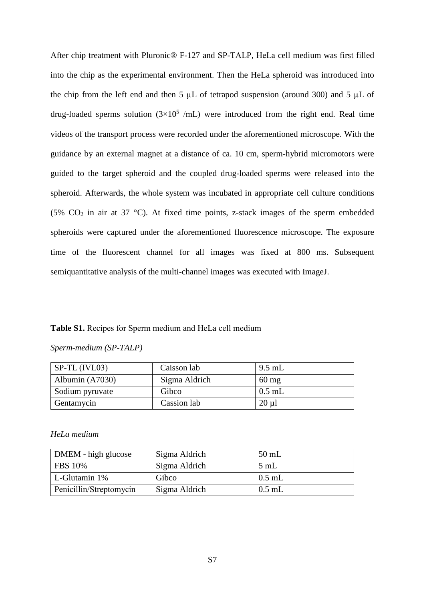After chip treatment with Pluronic® F-127 and SP-TALP, HeLa cell medium was first filled into the chip as the experimental environment. Then the HeLa spheroid was introduced into the chip from the left end and then 5  $\mu$ L of tetrapod suspension (around 300) and 5  $\mu$ L of drug-loaded sperms solution  $(3\times10^5$  /mL) were introduced from the right end. Real time videos of the transport process were recorded under the aforementioned microscope. With the guidance by an external magnet at a distance of ca. 10 cm, sperm-hybrid micromotors were guided to the target spheroid and the coupled drug-loaded sperms were released into the spheroid. Afterwards, the whole system was incubated in appropriate cell culture conditions (5%  $CO<sub>2</sub>$  in air at 37 °C). At fixed time points, z-stack images of the sperm embedded spheroids were captured under the aforementioned fluorescence microscope. The exposure time of the fluorescent channel for all images was fixed at 800 ms. Subsequent semiquantitative analysis of the multi-channel images was executed with ImageJ.

#### **Table S1.** Recipes for Sperm medium and HeLa cell medium

# *Sperm-medium (SP-TALP)*

| $SP-TL$ (IVL03) | Caisson lab   | $9.5$ mL        |
|-----------------|---------------|-----------------|
| Albumin (A7030) | Sigma Aldrich | $60 \text{ mg}$ |
| Sodium pyruvate | Gibco         | $0.5$ mL        |
| Gentamycin      | Cassion lab   | $20 \mu l$      |

*HeLa medium* 

| DMEM - high glucose     | Sigma Aldrich | 50 mL          |
|-------------------------|---------------|----------------|
| <b>FBS</b> 10%          | Sigma Aldrich | $5 \text{ mL}$ |
| L-Glutamin 1%           | Gibco         | $0.5$ mL       |
| Penicillin/Streptomycin | Sigma Aldrich | $0.5$ mL       |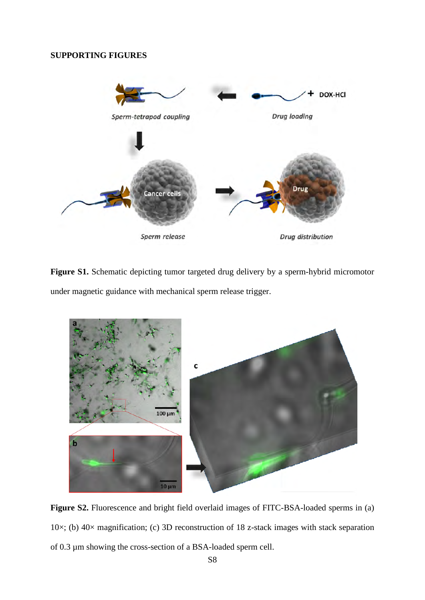# **SUPPORTING FIGURES**



Figure S1. Schematic depicting tumor targeted drug delivery by a sperm-hybrid micromotor under magnetic guidance with mechanical sperm release trigger.



**Figure S2.** Fluorescence and bright field overlaid images of FITC-BSA-loaded sperms in (a) 10 $\times$ ; (b) 40 $\times$  magnification; (c) 3D reconstruction of 18 z-stack images with stack separation of 0.3 µm showing the cross-section of a BSA-loaded sperm cell.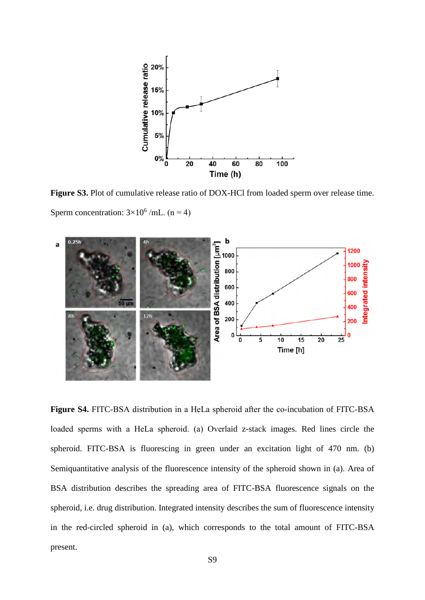

**Figure S3.** Plot of cumulative release ratio of DOX-HCl from loaded sperm over release time. Sperm concentration:  $3\times10^6$  /mL. (n = 4)



**Figure S4.** FITC-BSA distribution in a HeLa spheroid after the co-incubation of FITC-BSA loaded sperms with a HeLa spheroid. (a) Overlaid z-stack images. Red lines circle the spheroid. FITC-BSA is fluorescing in green under an excitation light of 470 nm. (b) Semiquantitative analysis of the fluorescence intensity of the spheroid shown in (a). Area of BSA distribution describes the spreading area of FITC-BSA fluorescence signals on the spheroid, i.e. drug distribution. Integrated intensity describes the sum of fluorescence intensity in the red-circled spheroid in (a), which corresponds to the total amount of FITC-BSA present.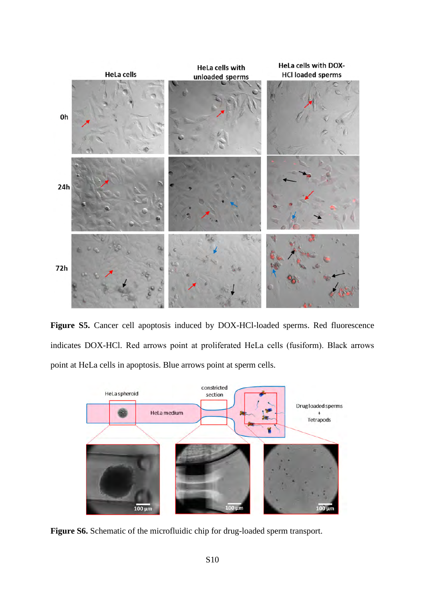

Figure S5. Cancer cell apoptosis induced by DOX-HCl-loaded sperms. Red fluorescence indicates DOX-HCl. Red arrows point at proliferated HeLa cells (fusiform). Black arrows point at HeLa cells in apoptosis. Blue arrows point at sperm cells.



**Figure S6.** Schematic of the microfluidic chip for drug-loaded sperm transport.